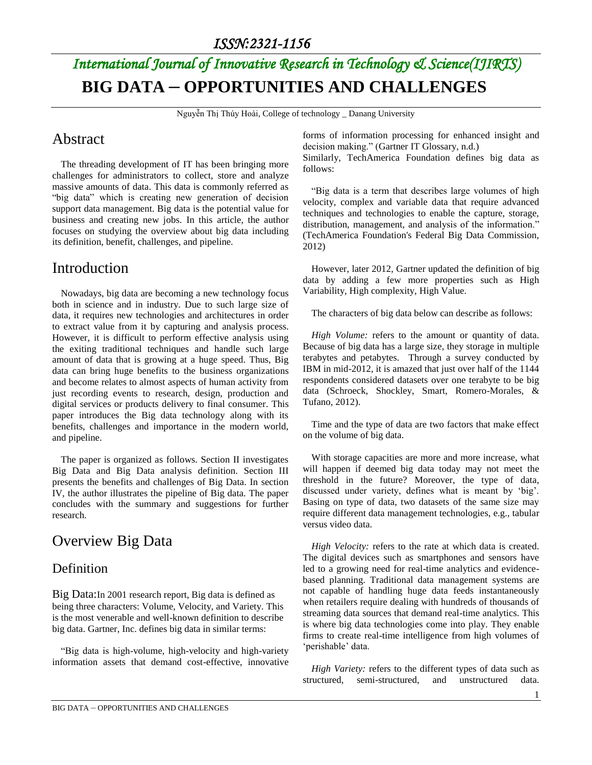# *International Journal of Innovative Research in Technology & Science(IJIRTS)* **BIG DATA – OPPORTUNITIES AND CHALLENGES**

Nguyễn Thị Thúy Hoài, College of technology \_ Danang University

## Abstract

The threading development of IT has been bringing more challenges for administrators to collect, store and analyze massive amounts of data. This data is commonly referred as "big data" which is creating new generation of decision support data management. Big data is the potential value for business and creating new jobs. In this article, the author focuses on studying the overview about big data including its definition, benefit, challenges, and pipeline.

## Introduction

Nowadays, big data are becoming a new technology focus both in science and in industry. Due to such large size of data, it requires new technologies and architectures in order to extract value from it by capturing and analysis process. However, it is difficult to perform effective analysis using the exiting traditional techniques and handle such large amount of data that is growing at a huge speed. Thus, Big data can bring huge benefits to the business organizations and become relates to almost aspects of human activity from just recording events to research, design, production and digital services or products delivery to final consumer. This paper introduces the Big data technology along with its benefits, challenges and importance in the modern world, and pipeline.

The paper is organized as follows. Section II investigates Big Data and Big Data analysis definition. Section III presents the benefits and challenges of Big Data. In section IV, the author illustrates the pipeline of Big data. The paper concludes with the summary and suggestions for further research.

## Overview Big Data

### **Definition**

Big Data:In 2001 research report, Big data is defined as being three characters: Volume, Velocity, and Variety. This is the most venerable and well-known definition to describe big data. Gartner, Inc. defines big data in similar terms:

"Big data is high-volume, high-velocity and high-variety information assets that demand cost-effective, innovative forms of information processing for enhanced insight and decision making." [\(Gartner IT Glossary, n.d.\)](http://www.sciencedirect.com/science/article/pii/S0268401214001066#bib0055)

Similarly, TechAmerica Foundation defines big data as follows:

"Big data is a term that describes large volumes of high velocity, complex and variable data that require advanced techniques and technologies to enable the capture, storage, distribution, management, and analysis of the information." [\(TechAmerica Foundation's Federal Big Data Commission,](http://www.sciencedirect.com/science/article/pii/S0268401214001066#bib0175)  [2012\)](http://www.sciencedirect.com/science/article/pii/S0268401214001066#bib0175)

However, later 2012, Gartner updated the definition of big data by adding a few more properties such as High Variability, High complexity, High Value.

The characters of big data below can describe as follows:

*High Volume:* refers to the amount or quantity of data. Because of big data has a large size, they storage in multiple terabytes and petabytes. Through a survey conducted by IBM in mid-2012, it is amazed that just over half of the 1144 respondents considered datasets over one terabyte to be big data [\(Schroeck, Shockley, Smart, Romero-Morales, &](http://www.sciencedirect.com/science/article/pii/S0268401214001066#bib0155)  [Tufano, 2012\)](http://www.sciencedirect.com/science/article/pii/S0268401214001066#bib0155).

Time and the type of data are two factors that make effect on the volume of big data.

With storage capacities are more and more increase, what will happen if deemed big data today may not meet the threshold in the future? Moreover, the type of data, discussed under variety, defines what is meant by 'big'. Basing on type of data, two datasets of the same size may require different data management technologies, e.g., tabular versus video data.

*High Velocity:* refers to the rate at which data is created. The digital devices such as smartphones and sensors have led to a growing need for real-time analytics and evidencebased planning. Traditional data management systems are not capable of handling huge data feeds instantaneously when retailers require dealing with hundreds of thousands of streaming data sources that demand real-time analytics. This is where big data technologies come into play. They enable firms to create real-time intelligence from high volumes of 'perishable' data.

*High Variety:* refers to the different types of data such as structured, semi-structured, and unstructured data.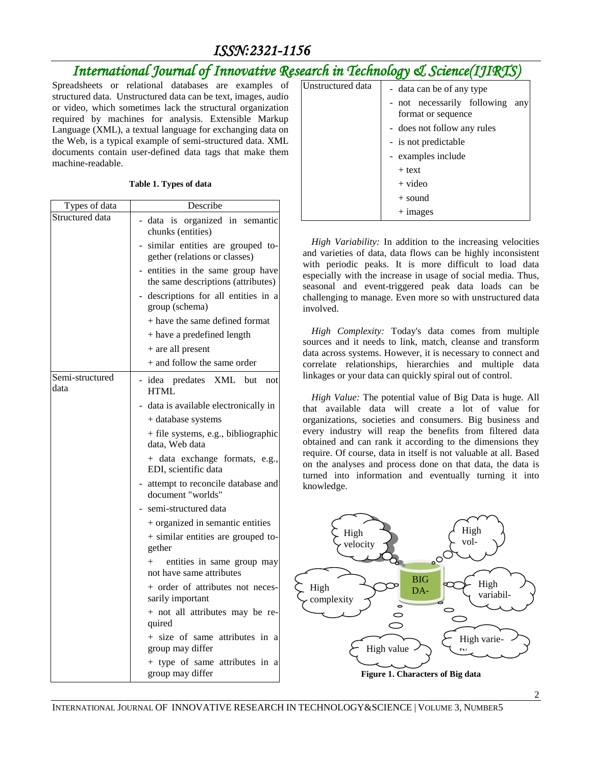# *ISSN:2321-1156*

# *International Journal of Innovative Research in Technology & Science(IJIRTS)*

Spreadsheets or relational databases are examples of structured data. Unstructured data can be text, images, audio or video, which sometimes lack the structural organization required by machines for analysis. Extensible Markup Language (XML), a textual language for exchanging data on the Web, is a typical example of semi-structured data. XML documents contain user-defined data tags that make them machine-readable.

#### **Table 1. Types of data**

| Types of data           | Describe                                                              |  |
|-------------------------|-----------------------------------------------------------------------|--|
| Structured data         | data is organized in semantic<br>chunks (entities)                    |  |
|                         | similar entities are grouped to-<br>gether (relations or classes)     |  |
|                         | entities in the same group have<br>the same descriptions (attributes) |  |
|                         | - descriptions for all entities in a<br>group (schema)                |  |
|                         | + have the same defined format                                        |  |
|                         | + have a predefined length                                            |  |
|                         | + are all present                                                     |  |
|                         | + and follow the same order                                           |  |
| Semi-structured<br>data | - idea predates XML but<br>not<br><b>HTML</b>                         |  |
|                         | - data is available electronically in                                 |  |
|                         | + database systems                                                    |  |
|                         | + file systems, e.g., bibliographic<br>data, Web data                 |  |
|                         | + data exchange formats, e.g.,<br>EDI, scientific data                |  |
|                         | - attempt to reconcile database and<br>document "worlds"              |  |
|                         | semi-structured data                                                  |  |
|                         | + organized in semantic entities                                      |  |
|                         | + similar entities are grouped to-<br>gether                          |  |
|                         | entities in same group may<br>$+$<br>not have same attributes         |  |
|                         | + order of attributes not neces-<br>sarily important                  |  |
|                         | + not all attributes may be re-<br>quired                             |  |
|                         | + size of same attributes in a<br>group may differ                    |  |
|                         | + type of same attributes in a<br>group may differ                    |  |

| Unstructured data | - data can be of any type                         |  |     |
|-------------------|---------------------------------------------------|--|-----|
|                   | - not necessarily following<br>format or sequence |  | any |
|                   | - does not follow any rules                       |  |     |
|                   | - is not predictable                              |  |     |
|                   | - examples include                                |  |     |
|                   | $+$ text                                          |  |     |
|                   | $+$ video                                         |  |     |
|                   | $+$ sound                                         |  |     |
|                   | $+$ 1 mages                                       |  |     |

*High Variability:* In addition to the increasing velocities and varieties of data, data flows can be highly inconsistent with periodic peaks. It is more difficult to load data especially with the increase in usage of social media. Thus, seasonal and event-triggered peak data loads can be challenging to manage. Even more so with unstructured data involved.

*High Complexity:* Today's data comes from multiple sources and it needs to link, match, cleanse and transform data across systems. However, it is necessary to connect and correlate relationships, hierarchies and multiple data linkages or your data can quickly spiral out of control.

*High Value:* The potential value of Big Data is huge. All that available data will create a lot of value for organizations, societies and consumers. Big business and every industry will reap the benefits from filtered data obtained and can rank it according to the dimensions they require. Of course, data in itself is not valuable at all. Based on the analyses and process done on that data, the data is turned into information and eventually turning it into knowledge.

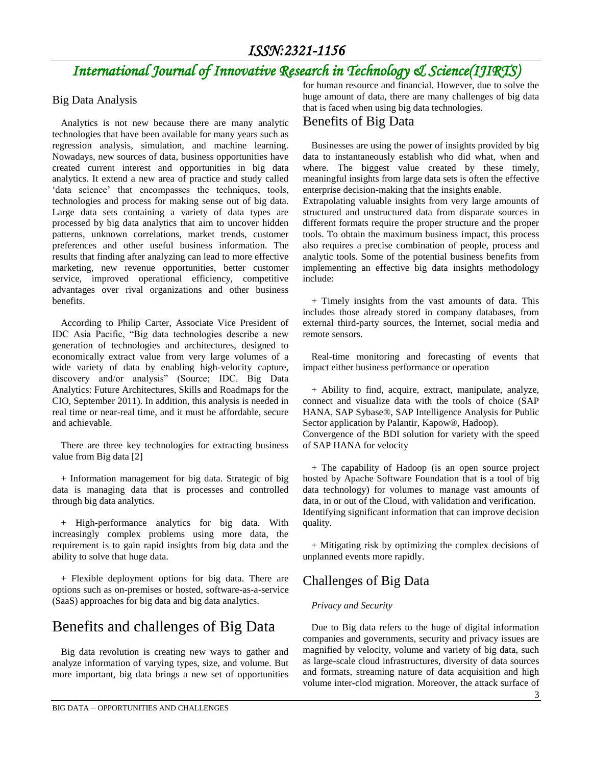# *International Journal of Innovative Research in Technology & Science(IJIRTS)*

#### Big Data Analysis

Analytics is not new because there are many analytic technologies that have been available for many years such as regression analysis, simulation, and machine learning. Nowadays, new sources of data, business opportunities have created current interest and opportunities in big data analytics. It extend a new area of practice and study called 'data science' that encompasses the techniques, tools, technologies and process for making sense out of big data. Large data sets containing a variety of data types are processed by big data analytics that aim to uncover hidden patterns, unknown correlations, market trends, customer preferences and other useful business information. The results that finding after analyzing can lead to more effective marketing, new revenue opportunities, better customer service, improved operational efficiency, competitive advantages over rival organizations and other business benefits.

According to Philip Carter, Associate Vice President of IDC Asia Pacific, "Big data technologies describe a new generation of technologies and architectures, designed to economically extract value from very large volumes of a wide variety of data by enabling high-velocity capture, discovery and/or analysis" (Source; IDC. Big Data Analytics: Future Architectures, Skills and Roadmaps for the CIO, September 2011). In addition, this analysis is needed in real time or near-real time, and it must be affordable, secure and achievable.

There are three key technologies for extracting business value from Big data [2]

+ Information management for big data. Strategic of big data is managing data that is processes and controlled through big data analytics.

+ High-performance analytics for big data. With increasingly complex problems using more data, the requirement is to gain rapid insights from big data and the ability to solve that huge data.

+ Flexible deployment options for big data. There are options such as on-premises or hosted, software-as-a-service (SaaS) approaches for big data and big data analytics.

### Benefits and challenges of Big Data

Big data revolution is creating new ways to gather and analyze information of varying types, size, and volume. But more important, big data brings a new set of opportunities for human resource and financial. However, due to solve the huge amount of data, there are many challenges of big data that is faced when using big data technologies.

#### Benefits of Big Data

Businesses are using the power of insights provided by big data to instantaneously establish who did what, when and where. The biggest value created by these timely, meaningful insights from large data sets is often the effective enterprise decision-making that the insights enable.

Extrapolating valuable insights from very large amounts of structured and unstructured data from disparate sources in different formats require the proper structure and the proper tools. To obtain the maximum business impact, this process also requires a precise combination of people, process and analytic tools. Some of the potential business benefits from implementing an effective big data insights methodology include:

+ Timely insights from the vast amounts of data. This includes those already stored in company databases, from external third-party sources, the Internet, social media and remote sensors.

Real-time monitoring and forecasting of events that impact either business performance or operation

+ Ability to find, acquire, extract, manipulate, analyze, connect and visualize data with the tools of choice (SAP HANA, SAP Sybase®, SAP Intelligence Analysis for Public Sector application by Palantir, Kapow®, Hadoop).

Convergence of the BDI solution for variety with the speed of SAP HANA for velocity

+ The capability of Hadoop (is an open source project hosted by Apache Software Foundation that is a tool of big data technology) for volumes to manage vast amounts of data, in or out of the Cloud, with validation and verification. Identifying significant information that can improve decision quality.

+ Mitigating risk by optimizing the complex decisions of unplanned events more rapidly.

### Challenges of Big Data

#### *Privacy and Security*

Due to Big data refers to the huge of digital information companies and governments, security and privacy issues are magnified by velocity, volume and variety of big data, such as large-scale cloud infrastructures, diversity of data sources and formats, streaming nature of data acquisition and high volume inter-clod migration. Moreover, the attack surface of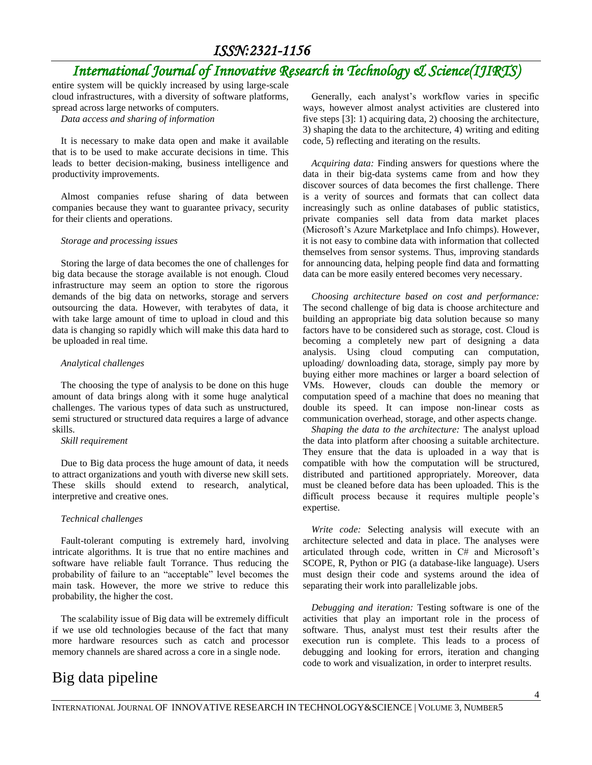### *ISSN:2321-1156*

# *International Journal of Innovative Research in Technology & Science(IJIRTS)*

entire system will be quickly increased by using large-scale cloud infrastructures, with a diversity of software platforms, spread across large networks of computers.

*Data access and sharing of information*

It is necessary to make data open and make it available that is to be used to make accurate decisions in time. This leads to better decision-making, business intelligence and productivity improvements.

Almost companies refuse sharing of data between companies because they want to guarantee privacy, security for their clients and operations.

#### *Storage and processing issues*

Storing the large of data becomes the one of challenges for big data because the storage available is not enough. Cloud infrastructure may seem an option to store the rigorous demands of the big data on networks, storage and servers outsourcing the data. However, with terabytes of data, it with take large amount of time to upload in cloud and this data is changing so rapidly which will make this data hard to be uploaded in real time.

#### *Analytical challenges*

The choosing the type of analysis to be done on this huge amount of data brings along with it some huge analytical challenges. The various types of data such as unstructured, semi structured or structured data requires a large of advance skills.

*Skill requirement*

Due to Big data process the huge amount of data, it needs to attract organizations and youth with diverse new skill sets. These skills should extend to research, analytical, interpretive and creative ones.

#### *Technical challenges*

Fault-tolerant computing is extremely hard, involving intricate algorithms. It is true that no entire machines and software have reliable fault Torrance. Thus reducing the probability of failure to an "acceptable" level becomes the main task. However, the more we strive to reduce this probability, the higher the cost.

The scalability issue of Big data will be extremely difficult if we use old technologies because of the fact that many more hardware resources such as catch and processor memory channels are shared across a core in a single node.

# Big data pipeline

Generally, each analyst's workflow varies in specific ways, however almost analyst activities are clustered into five steps [3]: 1) acquiring data, 2) choosing the architecture, 3) shaping the data to the architecture, 4) writing and editing code, 5) reflecting and iterating on the results.

*Acquiring data:* Finding answers for questions where the data in their big-data systems came from and how they discover sources of data becomes the first challenge. There is a verity of sources and formats that can collect data increasingly such as online databases of public statistics, private companies sell data from data market places (Microsoft's Azure Marketplace and Info chimps). However, it is not easy to combine data with information that collected themselves from sensor systems. Thus, improving standards for announcing data, helping people find data and formatting data can be more easily entered becomes very necessary.

*Choosing architecture based on cost and performance:* The second challenge of big data is choose architecture and building an appropriate big data solution because so many factors have to be considered such as storage, cost. Cloud is becoming a completely new part of designing a data analysis. Using cloud computing can computation, uploading/ downloading data, storage, simply pay more by buying either more machines or larger a board selection of VMs. However, clouds can double the memory or computation speed of a machine that does no meaning that double its speed. It can impose non-linear costs as communication overhead, storage, and other aspects change.

*Shaping the data to the architecture:* The analyst upload the data into platform after choosing a suitable architecture. They ensure that the data is uploaded in a way that is compatible with how the computation will be structured, distributed and partitioned appropriately. Moreover, data must be cleaned before data has been uploaded. This is the difficult process because it requires multiple people's expertise.

*Write code:* Selecting analysis will execute with an architecture selected and data in place. The analyses were articulated through code, written in C# and Microsoft's SCOPE, R, Python or PIG (a database-like language). Users must design their code and systems around the idea of separating their work into parallelizable jobs.

*Debugging and iteration:* Testing software is one of the activities that play an important role in the process of software. Thus, analyst must test their results after the execution run is complete. This leads to a process of debugging and looking for errors, iteration and changing code to work and visualization, in order to interpret results.